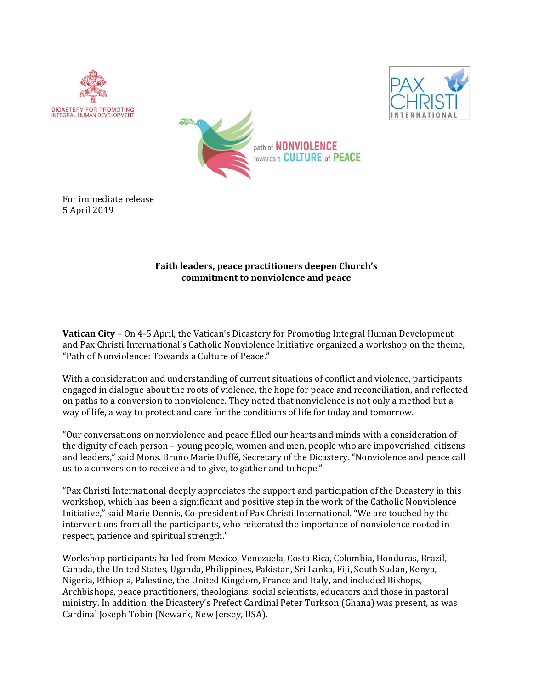







## **Faith leaders, peace practitioners deepen Church's commitment to nonviolence and peace**

**Vatican City** – On 4-5 April, the Vatican's Dicastery for Promoting Integral Human Development and Pax Christi International's Catholic Nonviolence Initiative organized a workshop on the theme, "Path of Nonviolence: Towards a Culture of Peace."

With a consideration and understanding of current situations of conflict and violence, participants engaged in dialogue about the roots of violence, the hope for peace and reconciliation, and reflected on paths to a conversion to nonviolence. They noted that nonviolence is not only a method but a way of life, a way to protect and care for the conditions of life for today and tomorrow.

"Our conversations on nonviolence and peace filled our hearts and minds with a consideration of the dignity of each person – young people, women and men, people who are impoverished, citizens and leaders," said Mons. Bruno Marie Duffé, Secretary of the Dicastery. "Nonviolence and peace call us to a conversion to receive and to give, to gather and to hope."

"Pax Christi International deeply appreciates the support and participation of the Dicastery in this workshop, which has been a significant and positive step in the work of the Catholic Nonviolence Initiative," said Marie Dennis, Co-president of Pax Christi International. "We are touched by the interventions from all the participants, who reiterated the importance of nonviolence rooted in respect, patience and spiritual strength."

Workshop participants hailed from Mexico, Venezuela, Costa Rica, Colombia, Honduras, Brazil, Canada, the United States, Uganda, Philippines, Pakistan, Sri Lanka, Fiji, South Sudan, Kenya, Nigeria, Ethiopia, Palestine, the United Kingdom, France and Italy, and included Bishops, Archbishops, peace practitioners, theologians, social scientists, educators and those in pastoral ministry. In addition, the Dicastery's Prefect Cardinal Peter Turkson (Ghana) was present, as was Cardinal Joseph Tobin (Newark, New Jersey, USA).